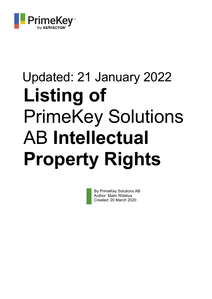

# Updated: 21 January 2022 **Listing of**  PrimeKey Solutions AB **Intellectual Property Rights**

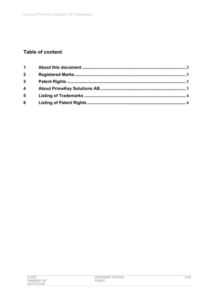# **Table of content**

| $\mathbf 1$             |  |
|-------------------------|--|
| $\overline{2}$          |  |
| $\overline{3}$          |  |
| $\overline{\mathbf{4}}$ |  |
| 5                       |  |
| $6\phantom{1}6$         |  |

| @2022              | DOCUMENT STATUS: | 2 (4) |
|--------------------|------------------|-------|
|                    |                  |       |
| <b>PRIMEKEY BY</b> | <b>PUBLIC</b>    |       |
|                    |                  |       |
| KEYFACTOR          |                  |       |
|                    |                  |       |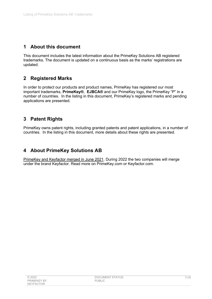#### **1 About this document**

This document includes the latest information about the PrimeKey Solutions AB registered trademarks. The document is updated on a continuous basis as the marks' registrations are updated.

## **2 Registered Marks**

In order to protect our products and product names, PrimeKey has registered our most important trademarks, **PrimeKey®**, **EJBCA®** and our PrimeKey logo, the PrimeKey "P" in a number of countries. In the listing in this document, PrimeKey's registered marks and pending applications are presented.

## **3 Patent Rights**

PrimeKey owns patent rights, including granted patents and patent applications, in a number of countries. In the listing in this document, more details about these rights are presented.

#### **4 About PrimeKey Solutions AB**

PrimeKey and Keyfactor merged in June 2021. During 2022 the two companies will merge under the brand Keyfactor. Read more on PrimeKey.com or Keyfactor.com.